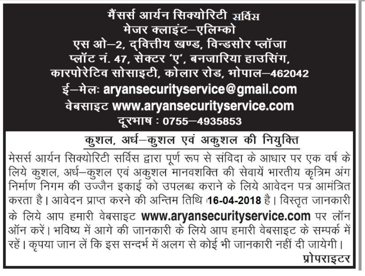मैंसर्स आर्यन सिक्योरिटी अर्विञ मेजर क्लाइंट–एलिम्को एस ओ–2, दवित्तीय खण्ड, विन्डसोर प्लॉजा प्लॉट नं. 47, सेक्टर 'ए', बनजारिया हाउसिंग, कारपोरेटिव सोसाइटी, कोलार रोड, भोपाल–462042 ई-मेलः aryansecurityservice@gmail.com वेबसाइट www.aryansecurityservice.com दूरभाष: 0755-4935853

# कुशल, अर्ध-कुशल एवं अकुशल की नियुक्ति

मेसर्स आर्यन सिक्योरिटी सर्विस द्वारा पूर्ण रूप से संविदा के आधार पर एक वर्ष के लिये कुशल, अर्ध-कुशल एवं अकुशल मानवशक्ति की सेवायें भारतीय कृत्रिम अंग निर्माण निगम की उज्जैन इकाई को उपलब्ध कराने के लिये आवेदन पत्र आमंत्रित करता है। आवेदन प्राप्त करने की अन्तिम तिथि 16-04-2018 है। विस्तृत जानकारी के लिये आप हमारी वेबसाइट www.aryansecurityservice.com पर लॉन ऑन करें। भविष्य में आगे की जानकारी के लिये आप हमारी वेबसाइट के सम्पर्क में रहें। कृपया जान लें कि इस सन्दर्भ में अलग से कोई भी जानकारी नहीं दी जायेगी। प्रोपराइटर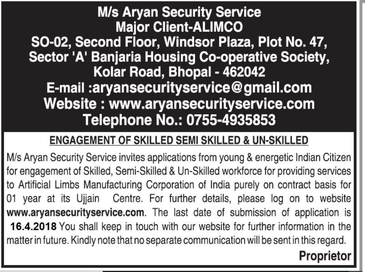# **M/s Aryan Security Service Major Client-ALIMCO** SO-02, Second Floor, Windsor Plaza, Plot No. 47, Sector 'A' Banjaria Housing Co-operative Society, Kolar Road, Bhopal - 462042 E-mail: aryansecurityservice@gmail.com Website: www.aryansecurityservice.com Telephone No.: 0755-4935853

## **ENGAGEMENT OF SKILLED SEMI SKILLED & UN-SKILLED**

M/s Aryan Security Service invites applications from young & energetic Indian Citizen for engagement of Skilled, Semi-Skilled & Un-Skilled workforce for providing services to Artificial Limbs Manufacturing Corporation of India purely on contract basis for 01 year at its Ujjain Centre. For further details, please log on to website www.aryansecurityservice.com. The last date of submission of application is 16.4.2018 You shall keep in touch with our website for further information in the matter in future. Kindly note that no separate communication will be sent in this regard.

# **Proprietor**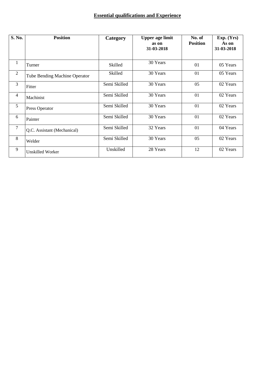### **Essential qualifications and Experience**

| S. No.         | <b>Position</b>                      | Category     | <b>Upper age limit</b><br>as on | No. of<br><b>Position</b> | Exp. (Yrs)<br>As on |
|----------------|--------------------------------------|--------------|---------------------------------|---------------------------|---------------------|
|                |                                      |              | 31-03-2018                      |                           | 31-03-2018          |
|                |                                      |              |                                 |                           |                     |
| 1              | Turner                               | Skilled      | 30 Years                        | 01                        | 05 Years            |
| 2              | <b>Tube Bending Machine Operator</b> | Skilled      | 30 Years                        | 01                        | 05 Years            |
| 3              | Fitter                               | Semi Skilled | 30 Years                        | 05                        | 02 Years            |
| $\overline{4}$ | Machinist                            | Semi Skilled | 30 Years                        | 01                        | 02 Years            |
| 5              | Press Operator                       | Semi Skilled | 30 Years                        | 01                        | 02 Years            |
| 6              | Painter                              | Semi Skilled | 30 Years                        | 01                        | 02 Years            |
| $\tau$         | Q.C. Assistant (Mechanical)          | Semi Skilled | 32 Years                        | 01                        | 04 Years            |
| 8              | Welder                               | Semi Skilled | 30 Years                        | 05                        | 02 Years            |
| 9              | <b>Unskilled Worker</b>              | Unskilled    | 28 Years                        | 12                        | 02 Years            |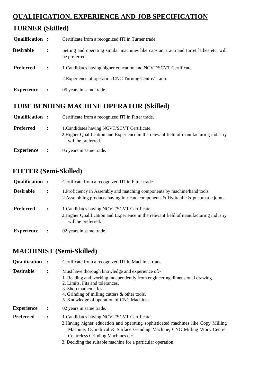## **QUALIFICATION, EXPERIENCE AND JOB SPECIFICATION**

## **TURNER (Skilled)**

| Qualification :   |                | Certificate from a recognized ITI in Turner trade.                                                      |
|-------------------|----------------|---------------------------------------------------------------------------------------------------------|
| <b>Desirable</b>  | $\ddot{\cdot}$ | Setting and operating similar machines like capstan, traub and turret lathes etc. will<br>be preferred. |
| <b>Preferred</b>  | $\ddot{\cdot}$ | 1. Candidates having higher education and NCVT/SCVT Certificate.                                        |
|                   |                | 2. Experience of operation CNC Turning Centre/Traub.                                                    |
| <b>Experience</b> | $\ddot{\cdot}$ | 05 years in same trade.                                                                                 |

## **TUBE BENDING MACHINE OPERATOR (Skilled)**

| Qualification :   | Certificate from a recognized ITI in Fitter trade.                                                                                                          |
|-------------------|-------------------------------------------------------------------------------------------------------------------------------------------------------------|
| <b>Preferred</b>  | 1. Candidates having NCVT/SCVT Certificate.<br>2. Higher Qualification and Experience in the relevant field of manufacturing industry<br>will be preferred. |
| <b>Experience</b> | 05 years in same trade.                                                                                                                                     |

## **FITTER (Semi-Skilled)**

| Qualification :   |                      | Certificate from a recognized ITI in Fitter trade.                                                                                                                   |
|-------------------|----------------------|----------------------------------------------------------------------------------------------------------------------------------------------------------------------|
| <b>Desirable</b>  | $\ddot{\phantom{a}}$ | 1. Proficiency in Assembly and matching components by machine/hand tools<br>2. Assembling products having intricate components $\&$ Hydraulic $\&$ pneumatic joints. |
| <b>Preferred</b>  | $\ddot{\cdot}$       | 1. Candidates having NCVT/SCVT Certificate.<br>2. Higher Qualification and Experience in the relevant field of manufacturing industry<br>will be preferred.          |
| <b>Experience</b> |                      | 02 years in same trade.                                                                                                                                              |

## **MACHINIST (Semi-Skilled)**

| Qualification :   |                | Certificate from a recognized ITI in Machinist trade.                                                                                                                                                                                                                                                              |
|-------------------|----------------|--------------------------------------------------------------------------------------------------------------------------------------------------------------------------------------------------------------------------------------------------------------------------------------------------------------------|
| <b>Desirable</b>  | $\ddot{\cdot}$ | Must have thorough knowledge and experience of:-                                                                                                                                                                                                                                                                   |
|                   |                | 1. Reading and working independently from engineering dimensional drawing.<br>2. Limits, Fits and tolerances.<br>3. Shop mathematics.<br>4. Grinding of milling cutters & other tools.<br>5. Knowledge of operation of CNC Machines.                                                                               |
| <b>Experience</b> | $\ddot{\cdot}$ | 02 years in same trade.                                                                                                                                                                                                                                                                                            |
| <b>Preferred</b>  | $\ddot{\cdot}$ | 1. Candidates having NCVT/SCVT Certificate.<br>2. Having higher education and operating sophisticated machines like Copy Milling<br>Machine, Cylindrical & Surface Grinding Machine, CNC Milling Work Centre,<br>Centreless Grinding Machines etc.<br>3. Deciding the suitable machine for a particular operation. |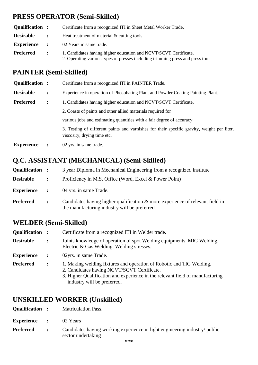## **PRESS OPERATOR (Semi-Skilled)**

| Qualification :  |                                        | Certificate from a recognized ITI in Sheet Metal Worker Trade.                                                                                      |
|------------------|----------------------------------------|-----------------------------------------------------------------------------------------------------------------------------------------------------|
| <b>Desirable</b> | $\mathbf{r}$ . The set of $\mathbf{r}$ | Heat treatment of material & cutting tools.                                                                                                         |
|                  |                                        | <b>Experience</b> : 02 Years in same trade.                                                                                                         |
| <b>Preferred</b> | $\mathbb{R}^n$                         | 1. Candidates having higher education and NCVT/SCVT Certificate.<br>2. Operating various types of presses including trimming press and press tools. |

## **PAINTER (Semi-Skilled)**

| Qualification :   |                | Certificate from a recognized ITI in PAINTER Trade.                                                                       |
|-------------------|----------------|---------------------------------------------------------------------------------------------------------------------------|
| <b>Desirable</b>  | $\ddot{\cdot}$ | Experience in operation of Phosphating Plant and Powder Coating Painting Plant.                                           |
| <b>Preferred</b>  | $\ddot{\cdot}$ | 1. Candidates having higher education and NCVT/SCVT Certificate.                                                          |
|                   |                | 2. Coasts of paints and other allied materials required for                                                               |
|                   |                | various jobs and estimating quantities with a fair degree of accuracy.                                                    |
|                   |                | 3. Testing of different paints and varnishes for their specific gravity, weight per liter,<br>viscosity, drying time etc. |
| <b>Experience</b> |                | 02 yrs. in same trade.                                                                                                    |

## **Q.C. ASSISTANT (MECHANICAL) (Semi-Skilled)**

| Qualification :   |                | 3 year Diploma in Mechanical Engineering from a recognized institute                                                              |
|-------------------|----------------|-----------------------------------------------------------------------------------------------------------------------------------|
| <b>Desirable</b>  | $\ddot{\cdot}$ | Proficiency in M.S. Office (Word, Excel & Power Point)                                                                            |
| <b>Experience</b> | $\ddot{\cdot}$ | 04 yrs. in same Trade.                                                                                                            |
| <b>Preferred</b>  | $\ddot{\cdot}$ | Candidates having higher qualification $\&$ more experience of relevant field in<br>the manufacturing industry will be preferred. |

## **WELDER (Semi-Skilled)**

| Qualification :   |                | Certificate from a recognized ITI in Welder trade.                                                                                                                                                                                  |
|-------------------|----------------|-------------------------------------------------------------------------------------------------------------------------------------------------------------------------------------------------------------------------------------|
| <b>Desirable</b>  | $\ddot{\cdot}$ | Joints knowledge of operation of spot Welding equipments, MIG Welding,<br>Electric & Gas Welding, Welding stresses.                                                                                                                 |
| <b>Experience</b> | $\ddot{\cdot}$ | 02yrs. in same Trade.                                                                                                                                                                                                               |
| <b>Preferred</b>  | $\ddot{\cdot}$ | 1. Making welding fixtures and operation of Robotic and TIG Welding.<br>2. Candidates having NCVT/SCVT Certificate.<br>3. Higher Qualification and experience in the relevant field of manufacturing<br>industry will be preferred. |

## **UNSKILLED WORKER (Unskilled)**

| Qualification |  | <b>Matriculation Pass.</b> |
|---------------|--|----------------------------|
|---------------|--|----------------------------|

- **Experience :** 02 Years
- **Preferred :** Candidates having working experience in light engineering industry/ public sector undertaking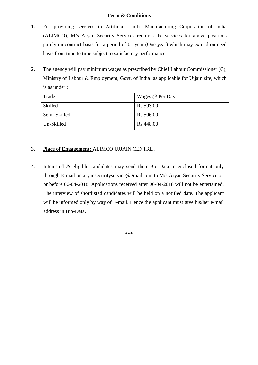#### **Term & Conditions**

- 1. For providing services in Artificial Limbs Manufacturing Corporation of India (ALIMCO), M/s Aryan Security Services requires the services for above positions purely on contract basis for a period of 01 year (One year) which may extend on need basis from time to time subject to satisfactory performance.
- 2. The agency will pay minimum wages as prescribed by Chief Labour Commissioner (C), Ministry of Labour & Employment, Govt. of India as applicable for Ujjain site, which is as under :

| Trade        | Wages @ Per Day |
|--------------|-----------------|
| Skilled      | Rs.593.00       |
| Semi-Skilled | Rs.506.00       |
| Un-Skilled   | Rs.448.00       |

### 3. **Place of Engagement:** ALIMCO UJJAIN CENTRE .

4. Interested & eligible candidates may send their Bio-Data in enclosed format only through E-mail on aryansecurityservice@gmail.com to M/s Aryan Security Service on or before 06-04-2018. Applications received after 06-04-2018 will not be entertained. The interview of shortlisted candidates will be held on a notified date. The applicant will be informed only by way of E-mail. Hence the applicant must give his/her e-mail address in Bio-Data.

**\*\*\***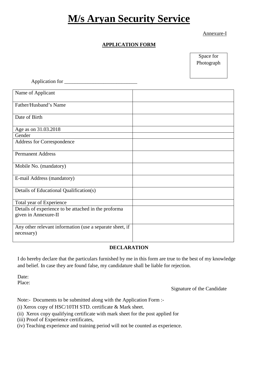# **M/s Aryan Security Service**

Annexure-I

### **APPLICATION FORM**

Space for Photograph

| Application for _____                                                  |  |
|------------------------------------------------------------------------|--|
| Name of Applicant                                                      |  |
| Father/Husband's Name                                                  |  |
| Date of Birth                                                          |  |
| Age as on 31.03.2018                                                   |  |
| Gender                                                                 |  |
| Address for Correspondence                                             |  |
| <b>Permanent Address</b>                                               |  |
| Mobile No. (mandatory)                                                 |  |
| E-mail Address (mandatory)                                             |  |
| Details of Educational Qualification(s)                                |  |
| Total year of Experience                                               |  |
| Details of experience to be attached in the proforma                   |  |
| given in Annexure-II                                                   |  |
| Any other relevant information (use a separate sheet, if<br>necessary) |  |

#### **DECLARATION**

I do hereby declare that the particulars furnished by me in this form are true to the best of my knowledge and belief. In case they are found false, my candidature shall be liable for rejection.

Date: Place:

Signature of the Candidate

Note:- Documents to be submitted along with the Application Form :-

(i) Xerox copy of HSC/10TH STD. certificate & Mark sheet.

- (ii) Xerox copy qualifying certificate with mark sheet for the post applied for
- (iii) Proof of Experience certificates,
- (iv) Teaching experience and training period will not be counted as experience.